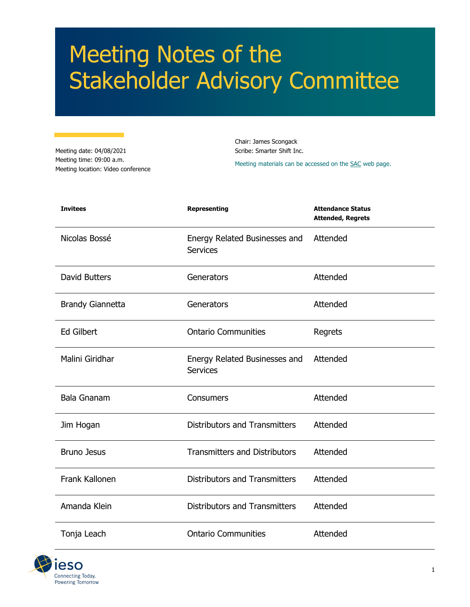# Meeting Notes of the Stakeholder Advisory Committee

Meeting date: 04/08/2021 Meeting time: 09:00 a.m. Meeting location: Video conference Chair: James Scongack Scribe: Smarter Shift Inc.

Meeting materials can be accessed on th[e SAC](https://www.ieso.ca/en/Sector-Participants/Engagement-Initiatives/Stakeholder-Advisory-Committee/Meetings-and-Materials) web page.

| <b>Invitees</b>         | <b>Representing</b>                              | <b>Attendance Status</b><br><b>Attended, Regrets</b> |
|-------------------------|--------------------------------------------------|------------------------------------------------------|
| Nicolas Bossé           | Energy Related Businesses and<br><b>Services</b> | Attended                                             |
| David Butters           | Generators                                       | Attended                                             |
| <b>Brandy Giannetta</b> | Generators                                       | Attended                                             |
| <b>Ed Gilbert</b>       | <b>Ontario Communities</b>                       | Regrets                                              |
| Malini Giridhar         | Energy Related Businesses and<br><b>Services</b> | Attended                                             |
| <b>Bala Gnanam</b>      | Consumers                                        | Attended                                             |
| Jim Hogan               | <b>Distributors and Transmitters</b>             | Attended                                             |
| <b>Bruno Jesus</b>      | <b>Transmitters and Distributors</b>             | Attended                                             |
| Frank Kallonen          | <b>Distributors and Transmitters</b>             | Attended                                             |
| Amanda Klein            | <b>Distributors and Transmitters</b>             | Attended                                             |
| Tonja Leach             | <b>Ontario Communities</b>                       | Attended                                             |

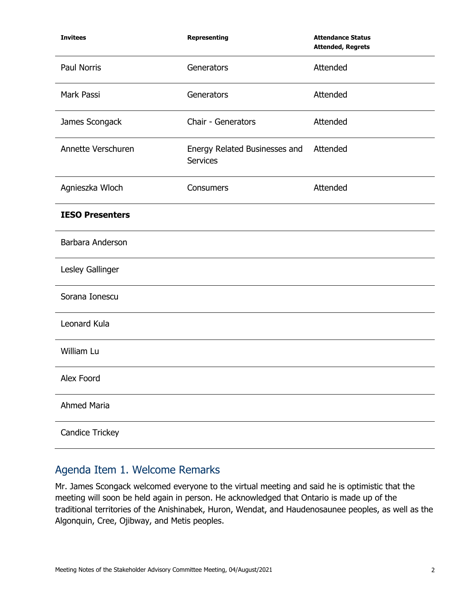| <b>Invitees</b>        | Representing                                     | <b>Attendance Status</b><br><b>Attended, Regrets</b> |
|------------------------|--------------------------------------------------|------------------------------------------------------|
| Paul Norris            | Generators                                       | Attended                                             |
| Mark Passi             | Generators                                       | Attended                                             |
| James Scongack         | Chair - Generators                               | Attended                                             |
| Annette Verschuren     | Energy Related Businesses and<br><b>Services</b> | Attended                                             |
| Agnieszka Wloch        | Consumers                                        | Attended                                             |
| <b>IESO Presenters</b> |                                                  |                                                      |
| Barbara Anderson       |                                                  |                                                      |
| Lesley Gallinger       |                                                  |                                                      |
| Sorana Ionescu         |                                                  |                                                      |
| Leonard Kula           |                                                  |                                                      |
| William Lu             |                                                  |                                                      |
| Alex Foord             |                                                  |                                                      |
| <b>Ahmed Maria</b>     |                                                  |                                                      |
| Candice Trickey        |                                                  |                                                      |

# Agenda Item 1. Welcome Remarks

Mr. James Scongack welcomed everyone to the virtual meeting and said he is optimistic that the meeting will soon be held again in person. He acknowledged that Ontario is made up of the traditional territories of the Anishinabek, Huron, Wendat, and Haudenosaunee peoples, as well as the Algonquin, Cree, Ojibway, and Metis peoples.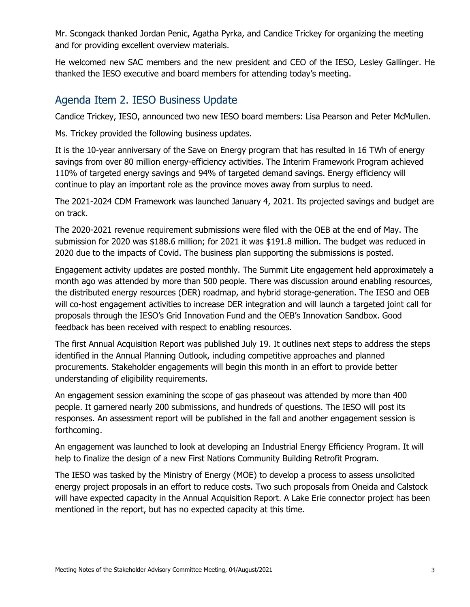Mr. Scongack thanked Jordan Penic, Agatha Pyrka, and Candice Trickey for organizing the meeting and for providing excellent overview materials.

He welcomed new SAC members and the new president and CEO of the IESO, Lesley Gallinger. He thanked the IESO executive and board members for attending today's meeting.

## Agenda Item 2. IESO Business Update

Candice Trickey, IESO, announced two new IESO board members: Lisa Pearson and Peter McMullen.

Ms. Trickey provided the following business updates.

It is the 10-year anniversary of the Save on Energy program that has resulted in 16 TWh of energy savings from over 80 million energy-efficiency activities. The Interim Framework Program achieved 110% of targeted energy savings and 94% of targeted demand savings. Energy efficiency will continue to play an important role as the province moves away from surplus to need.

The 2021-2024 CDM Framework was launched January 4, 2021. Its projected savings and budget are on track.

The 2020-2021 revenue requirement submissions were filed with the OEB at the end of May. The submission for 2020 was \$188.6 million; for 2021 it was \$191.8 million. The budget was reduced in 2020 due to the impacts of Covid. The business plan supporting the submissions is posted.

Engagement activity updates are posted monthly. The Summit Lite engagement held approximately a month ago was attended by more than 500 people. There was discussion around enabling resources, the distributed energy resources (DER) roadmap, and hybrid storage-generation. The IESO and OEB will co-host engagement activities to increase DER integration and will launch a targeted joint call for proposals through the IESO's Grid Innovation Fund and the OEB's Innovation Sandbox. Good feedback has been received with respect to enabling resources.

The first Annual Acquisition Report was published July 19. It outlines next steps to address the steps identified in the Annual Planning Outlook, including competitive approaches and planned procurements. Stakeholder engagements will begin this month in an effort to provide better understanding of eligibility requirements.

An engagement session examining the scope of gas phaseout was attended by more than 400 people. It garnered nearly 200 submissions, and hundreds of questions. The IESO will post its responses. An assessment report will be published in the fall and another engagement session is forthcoming.

An engagement was launched to look at developing an Industrial Energy Efficiency Program. It will help to finalize the design of a new First Nations Community Building Retrofit Program.

The IESO was tasked by the Ministry of Energy (MOE) to develop a process to assess unsolicited energy project proposals in an effort to reduce costs. Two such proposals from Oneida and Calstock will have expected capacity in the Annual Acquisition Report. A Lake Erie connector project has been mentioned in the report, but has no expected capacity at this time.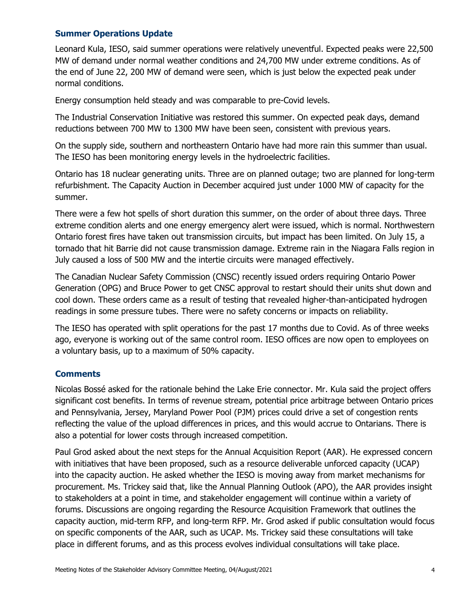#### **Summer Operations Update**

Leonard Kula, IESO, said summer operations were relatively uneventful. Expected peaks were 22,500 MW of demand under normal weather conditions and 24,700 MW under extreme conditions. As of the end of June 22, 200 MW of demand were seen, which is just below the expected peak under normal conditions.

Energy consumption held steady and was comparable to pre-Covid levels.

The Industrial Conservation Initiative was restored this summer. On expected peak days, demand reductions between 700 MW to 1300 MW have been seen, consistent with previous years.

On the supply side, southern and northeastern Ontario have had more rain this summer than usual. The IESO has been monitoring energy levels in the hydroelectric facilities.

Ontario has 18 nuclear generating units. Three are on planned outage; two are planned for long-term refurbishment. The Capacity Auction in December acquired just under 1000 MW of capacity for the summer.

There were a few hot spells of short duration this summer, on the order of about three days. Three extreme condition alerts and one energy emergency alert were issued, which is normal. Northwestern Ontario forest fires have taken out transmission circuits, but impact has been limited. On July 15, a tornado that hit Barrie did not cause transmission damage. Extreme rain in the Niagara Falls region in July caused a loss of 500 MW and the intertie circuits were managed effectively.

The Canadian Nuclear Safety Commission (CNSC) recently issued orders requiring Ontario Power Generation (OPG) and Bruce Power to get CNSC approval to restart should their units shut down and cool down. These orders came as a result of testing that revealed higher-than-anticipated hydrogen readings in some pressure tubes. There were no safety concerns or impacts on reliability.

The IESO has operated with split operations for the past 17 months due to Covid. As of three weeks ago, everyone is working out of the same control room. IESO offices are now open to employees on a voluntary basis, up to a maximum of 50% capacity.

## **Comments**

Nicolas Bossé asked for the rationale behind the Lake Erie connector. Mr. Kula said the project offers significant cost benefits. In terms of revenue stream, potential price arbitrage between Ontario prices and Pennsylvania, Jersey, Maryland Power Pool (PJM) prices could drive a set of congestion rents reflecting the value of the upload differences in prices, and this would accrue to Ontarians. There is also a potential for lower costs through increased competition.

Paul Grod asked about the next steps for the Annual Acquisition Report (AAR). He expressed concern with initiatives that have been proposed, such as a resource deliverable unforced capacity (UCAP) into the capacity auction. He asked whether the IESO is moving away from market mechanisms for procurement. Ms. Trickey said that, like the Annual Planning Outlook (APO), the AAR provides insight to stakeholders at a point in time, and stakeholder engagement will continue within a variety of forums. Discussions are ongoing regarding the Resource Acquisition Framework that outlines the capacity auction, mid-term RFP, and long-term RFP. Mr. Grod asked if public consultation would focus on specific components of the AAR, such as UCAP. Ms. Trickey said these consultations will take place in different forums, and as this process evolves individual consultations will take place.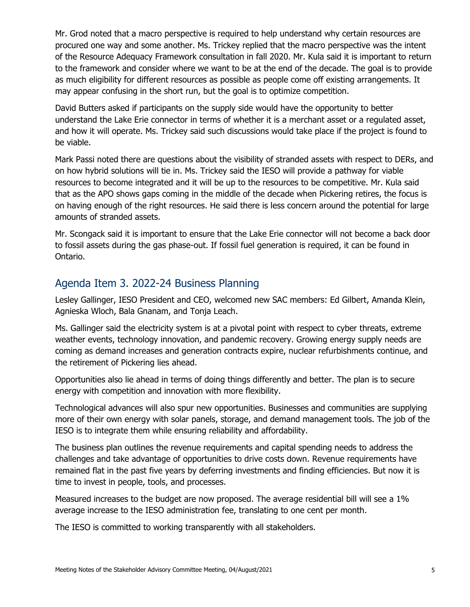Mr. Grod noted that a macro perspective is required to help understand why certain resources are procured one way and some another. Ms. Trickey replied that the macro perspective was the intent of the Resource Adequacy Framework consultation in fall 2020. Mr. Kula said it is important to return to the framework and consider where we want to be at the end of the decade. The goal is to provide as much eligibility for different resources as possible as people come off existing arrangements. It may appear confusing in the short run, but the goal is to optimize competition.

David Butters asked if participants on the supply side would have the opportunity to better understand the Lake Erie connector in terms of whether it is a merchant asset or a regulated asset, and how it will operate. Ms. Trickey said such discussions would take place if the project is found to be viable.

Mark Passi noted there are questions about the visibility of stranded assets with respect to DERs, and on how hybrid solutions will tie in. Ms. Trickey said the IESO will provide a pathway for viable resources to become integrated and it will be up to the resources to be competitive. Mr. Kula said that as the APO shows gaps coming in the middle of the decade when Pickering retires, the focus is on having enough of the right resources. He said there is less concern around the potential for large amounts of stranded assets.

Mr. Scongack said it is important to ensure that the Lake Erie connector will not become a back door to fossil assets during the gas phase-out. If fossil fuel generation is required, it can be found in Ontario.

## Agenda Item 3. 2022-24 Business Planning

Lesley Gallinger, IESO President and CEO, welcomed new SAC members: Ed Gilbert, Amanda Klein, Agnieska Wloch, Bala Gnanam, and Tonja Leach.

Ms. Gallinger said the electricity system is at a pivotal point with respect to cyber threats, extreme weather events, technology innovation, and pandemic recovery. Growing energy supply needs are coming as demand increases and generation contracts expire, nuclear refurbishments continue, and the retirement of Pickering lies ahead.

Opportunities also lie ahead in terms of doing things differently and better. The plan is to secure energy with competition and innovation with more flexibility.

Technological advances will also spur new opportunities. Businesses and communities are supplying more of their own energy with solar panels, storage, and demand management tools. The job of the IESO is to integrate them while ensuring reliability and affordability.

The business plan outlines the revenue requirements and capital spending needs to address the challenges and take advantage of opportunities to drive costs down. Revenue requirements have remained flat in the past five years by deferring investments and finding efficiencies. But now it is time to invest in people, tools, and processes.

Measured increases to the budget are now proposed. The average residential bill will see a 1% average increase to the IESO administration fee, translating to one cent per month.

The IESO is committed to working transparently with all stakeholders.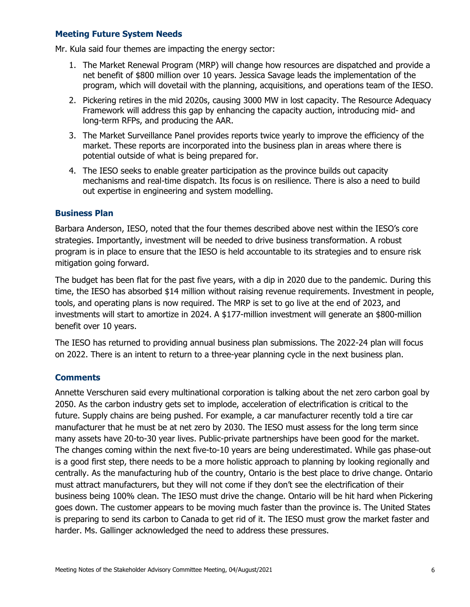#### **Meeting Future System Needs**

Mr. Kula said four themes are impacting the energy sector:

- 1. The Market Renewal Program (MRP) will change how resources are dispatched and provide a net benefit of \$800 million over 10 years. Jessica Savage leads the implementation of the program, which will dovetail with the planning, acquisitions, and operations team of the IESO.
- 2. Pickering retires in the mid 2020s, causing 3000 MW in lost capacity. The Resource Adequacy Framework will address this gap by enhancing the capacity auction, introducing mid- and long-term RFPs, and producing the AAR.
- 3. The Market Surveillance Panel provides reports twice yearly to improve the efficiency of the market. These reports are incorporated into the business plan in areas where there is potential outside of what is being prepared for.
- 4. The IESO seeks to enable greater participation as the province builds out capacity mechanisms and real-time dispatch. Its focus is on resilience. There is also a need to build out expertise in engineering and system modelling.

#### **Business Plan**

Barbara Anderson, IESO, noted that the four themes described above nest within the IESO's core strategies. Importantly, investment will be needed to drive business transformation. A robust program is in place to ensure that the IESO is held accountable to its strategies and to ensure risk mitigation going forward.

The budget has been flat for the past five years, with a dip in 2020 due to the pandemic. During this time, the IESO has absorbed \$14 million without raising revenue requirements. Investment in people, tools, and operating plans is now required. The MRP is set to go live at the end of 2023, and investments will start to amortize in 2024. A \$177-million investment will generate an \$800-million benefit over 10 years.

The IESO has returned to providing annual business plan submissions. The 2022-24 plan will focus on 2022. There is an intent to return to a three-year planning cycle in the next business plan.

## **Comments**

Annette Verschuren said every multinational corporation is talking about the net zero carbon goal by 2050. As the carbon industry gets set to implode, acceleration of electrification is critical to the future. Supply chains are being pushed. For example, a car manufacturer recently told a tire car manufacturer that he must be at net zero by 2030. The IESO must assess for the long term since many assets have 20-to-30 year lives. Public-private partnerships have been good for the market. The changes coming within the next five-to-10 years are being underestimated. While gas phase-out is a good first step, there needs to be a more holistic approach to planning by looking regionally and centrally. As the manufacturing hub of the country, Ontario is the best place to drive change. Ontario must attract manufacturers, but they will not come if they don't see the electrification of their business being 100% clean. The IESO must drive the change. Ontario will be hit hard when Pickering goes down. The customer appears to be moving much faster than the province is. The United States is preparing to send its carbon to Canada to get rid of it. The IESO must grow the market faster and harder. Ms. Gallinger acknowledged the need to address these pressures.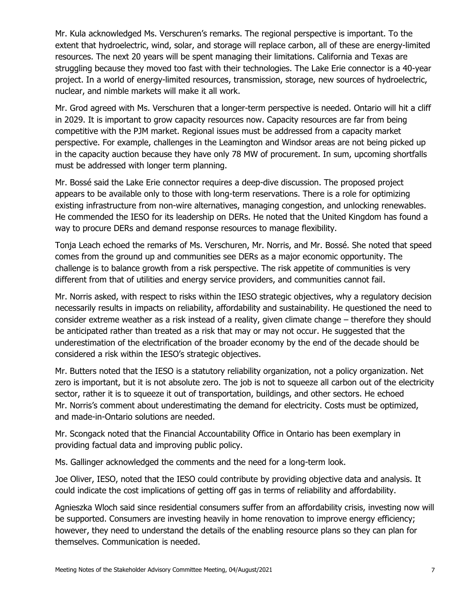Mr. Kula acknowledged Ms. Verschuren's remarks. The regional perspective is important. To the extent that hydroelectric, wind, solar, and storage will replace carbon, all of these are energy-limited resources. The next 20 years will be spent managing their limitations. California and Texas are struggling because they moved too fast with their technologies. The Lake Erie connector is a 40-year project. In a world of energy-limited resources, transmission, storage, new sources of hydroelectric, nuclear, and nimble markets will make it all work.

Mr. Grod agreed with Ms. Verschuren that a longer-term perspective is needed. Ontario will hit a cliff in 2029. It is important to grow capacity resources now. Capacity resources are far from being competitive with the PJM market. Regional issues must be addressed from a capacity market perspective. For example, challenges in the Leamington and Windsor areas are not being picked up in the capacity auction because they have only 78 MW of procurement. In sum, upcoming shortfalls must be addressed with longer term planning.

Mr. Bossé said the Lake Erie connector requires a deep-dive discussion. The proposed project appears to be available only to those with long-term reservations. There is a role for optimizing existing infrastructure from non-wire alternatives, managing congestion, and unlocking renewables. He commended the IESO for its leadership on DERs. He noted that the United Kingdom has found a way to procure DERs and demand response resources to manage flexibility.

Tonja Leach echoed the remarks of Ms. Verschuren, Mr. Norris, and Mr. Bossé. She noted that speed comes from the ground up and communities see DERs as a major economic opportunity. The challenge is to balance growth from a risk perspective. The risk appetite of communities is very different from that of utilities and energy service providers, and communities cannot fail.

Mr. Norris asked, with respect to risks within the IESO strategic objectives, why a regulatory decision necessarily results in impacts on reliability, affordability and sustainability. He questioned the need to consider extreme weather as a risk instead of a reality, given climate change – therefore they should be anticipated rather than treated as a risk that may or may not occur. He suggested that the underestimation of the electrification of the broader economy by the end of the decade should be considered a risk within the IESO's strategic objectives.

Mr. Butters noted that the IESO is a statutory reliability organization, not a policy organization. Net zero is important, but it is not absolute zero. The job is not to squeeze all carbon out of the electricity sector, rather it is to squeeze it out of transportation, buildings, and other sectors. He echoed Mr. Norris's comment about underestimating the demand for electricity. Costs must be optimized, and made-in-Ontario solutions are needed.

Mr. Scongack noted that the Financial Accountability Office in Ontario has been exemplary in providing factual data and improving public policy.

Ms. Gallinger acknowledged the comments and the need for a long-term look.

Joe Oliver, IESO, noted that the IESO could contribute by providing objective data and analysis. It could indicate the cost implications of getting off gas in terms of reliability and affordability.

Agnieszka Wloch said since residential consumers suffer from an affordability crisis, investing now will be supported. Consumers are investing heavily in home renovation to improve energy efficiency; however, they need to understand the details of the enabling resource plans so they can plan for themselves. Communication is needed.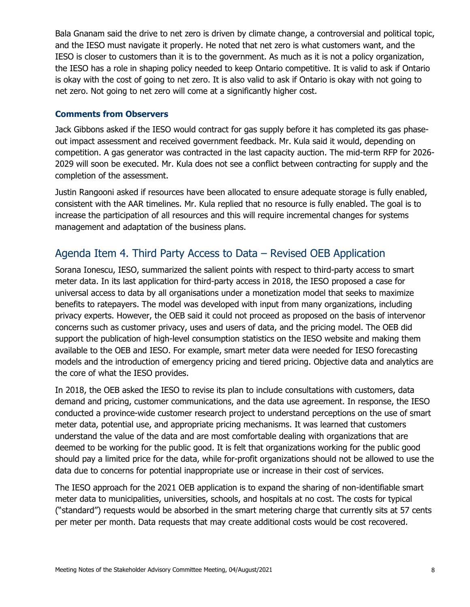Bala Gnanam said the drive to net zero is driven by climate change, a controversial and political topic, and the IESO must navigate it properly. He noted that net zero is what customers want, and the IESO is closer to customers than it is to the government. As much as it is not a policy organization, the IESO has a role in shaping policy needed to keep Ontario competitive. It is valid to ask if Ontario is okay with the cost of going to net zero. It is also valid to ask if Ontario is okay with not going to net zero. Not going to net zero will come at a significantly higher cost.

#### **Comments from Observers**

Jack Gibbons asked if the IESO would contract for gas supply before it has completed its gas phaseout impact assessment and received government feedback. Mr. Kula said it would, depending on competition. A gas generator was contracted in the last capacity auction. The mid-term RFP for 2026- 2029 will soon be executed. Mr. Kula does not see a conflict between contracting for supply and the completion of the assessment.

Justin Rangooni asked if resources have been allocated to ensure adequate storage is fully enabled, consistent with the AAR timelines. Mr. Kula replied that no resource is fully enabled. The goal is to increase the participation of all resources and this will require incremental changes for systems management and adaptation of the business plans.

## Agenda Item 4. Third Party Access to Data – Revised OEB Application

Sorana Ionescu, IESO, summarized the salient points with respect to third-party access to smart meter data. In its last application for third-party access in 2018, the IESO proposed a case for universal access to data by all organisations under a monetization model that seeks to maximize benefits to ratepayers. The model was developed with input from many organizations, including privacy experts. However, the OEB said it could not proceed as proposed on the basis of intervenor concerns such as customer privacy, uses and users of data, and the pricing model. The OEB did support the publication of high-level consumption statistics on the IESO website and making them available to the OEB and IESO. For example, smart meter data were needed for IESO forecasting models and the introduction of emergency pricing and tiered pricing. Objective data and analytics are the core of what the IESO provides.

In 2018, the OEB asked the IESO to revise its plan to include consultations with customers, data demand and pricing, customer communications, and the data use agreement. In response, the IESO conducted a province-wide customer research project to understand perceptions on the use of smart meter data, potential use, and appropriate pricing mechanisms. It was learned that customers understand the value of the data and are most comfortable dealing with organizations that are deemed to be working for the public good. It is felt that organizations working for the public good should pay a limited price for the data, while for-profit organizations should not be allowed to use the data due to concerns for potential inappropriate use or increase in their cost of services.

The IESO approach for the 2021 OEB application is to expand the sharing of non-identifiable smart meter data to municipalities, universities, schools, and hospitals at no cost. The costs for typical ("standard") requests would be absorbed in the smart metering charge that currently sits at 57 cents per meter per month. Data requests that may create additional costs would be cost recovered.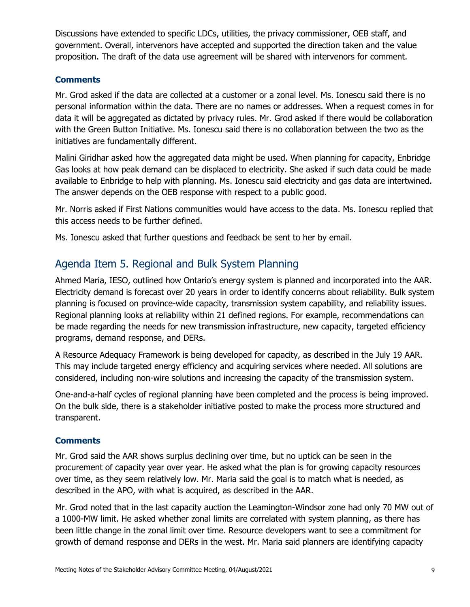Discussions have extended to specific LDCs, utilities, the privacy commissioner, OEB staff, and government. Overall, intervenors have accepted and supported the direction taken and the value proposition. The draft of the data use agreement will be shared with intervenors for comment.

## **Comments**

Mr. Grod asked if the data are collected at a customer or a zonal level. Ms. Ionescu said there is no personal information within the data. There are no names or addresses. When a request comes in for data it will be aggregated as dictated by privacy rules. Mr. Grod asked if there would be collaboration with the Green Button Initiative. Ms. Ionescu said there is no collaboration between the two as the initiatives are fundamentally different.

Malini Giridhar asked how the aggregated data might be used. When planning for capacity, Enbridge Gas looks at how peak demand can be displaced to electricity. She asked if such data could be made available to Enbridge to help with planning. Ms. Ionescu said electricity and gas data are intertwined. The answer depends on the OEB response with respect to a public good.

Mr. Norris asked if First Nations communities would have access to the data. Ms. Ionescu replied that this access needs to be further defined.

Ms. Ionescu asked that further questions and feedback be sent to her by email.

## Agenda Item 5. Regional and Bulk System Planning

Ahmed Maria, IESO, outlined how Ontario's energy system is planned and incorporated into the AAR. Electricity demand is forecast over 20 years in order to identify concerns about reliability. Bulk system planning is focused on province-wide capacity, transmission system capability, and reliability issues. Regional planning looks at reliability within 21 defined regions. For example, recommendations can be made regarding the needs for new transmission infrastructure, new capacity, targeted efficiency programs, demand response, and DERs.

A Resource Adequacy Framework is being developed for capacity, as described in the July 19 AAR. This may include targeted energy efficiency and acquiring services where needed. All solutions are considered, including non-wire solutions and increasing the capacity of the transmission system.

One-and-a-half cycles of regional planning have been completed and the process is being improved. On the bulk side, there is a stakeholder initiative posted to make the process more structured and transparent.

## **Comments**

Mr. Grod said the AAR shows surplus declining over time, but no uptick can be seen in the procurement of capacity year over year. He asked what the plan is for growing capacity resources over time, as they seem relatively low. Mr. Maria said the goal is to match what is needed, as described in the APO, with what is acquired, as described in the AAR.

Mr. Grod noted that in the last capacity auction the Leamington-Windsor zone had only 70 MW out of a 1000-MW limit. He asked whether zonal limits are correlated with system planning, as there has been little change in the zonal limit over time. Resource developers want to see a commitment for growth of demand response and DERs in the west. Mr. Maria said planners are identifying capacity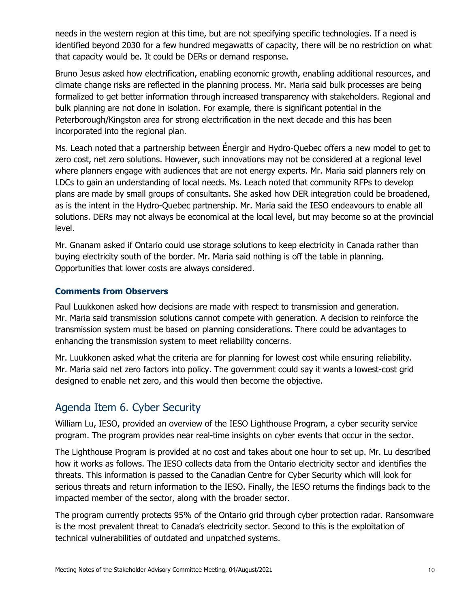needs in the western region at this time, but are not specifying specific technologies. If a need is identified beyond 2030 for a few hundred megawatts of capacity, there will be no restriction on what that capacity would be. It could be DERs or demand response.

Bruno Jesus asked how electrification, enabling economic growth, enabling additional resources, and climate change risks are reflected in the planning process. Mr. Maria said bulk processes are being formalized to get better information through increased transparency with stakeholders. Regional and bulk planning are not done in isolation. For example, there is significant potential in the Peterborough/Kingston area for strong electrification in the next decade and this has been incorporated into the regional plan.

Ms. Leach noted that a partnership between Énergir and Hydro-Quebec offers a new model to get to zero cost, net zero solutions. However, such innovations may not be considered at a regional level where planners engage with audiences that are not energy experts. Mr. Maria said planners rely on LDCs to gain an understanding of local needs. Ms. Leach noted that community RFPs to develop plans are made by small groups of consultants. She asked how DER integration could be broadened, as is the intent in the Hydro-Quebec partnership. Mr. Maria said the IESO endeavours to enable all solutions. DERs may not always be economical at the local level, but may become so at the provincial level.

Mr. Gnanam asked if Ontario could use storage solutions to keep electricity in Canada rather than buying electricity south of the border. Mr. Maria said nothing is off the table in planning. Opportunities that lower costs are always considered.

## **Comments from Observers**

Paul Luukkonen asked how decisions are made with respect to transmission and generation. Mr. Maria said transmission solutions cannot compete with generation. A decision to reinforce the transmission system must be based on planning considerations. There could be advantages to enhancing the transmission system to meet reliability concerns.

Mr. Luukkonen asked what the criteria are for planning for lowest cost while ensuring reliability. Mr. Maria said net zero factors into policy. The government could say it wants a lowest-cost grid designed to enable net zero, and this would then become the objective.

## Agenda Item 6. Cyber Security

William Lu, IESO, provided an overview of the IESO Lighthouse Program, a cyber security service program. The program provides near real-time insights on cyber events that occur in the sector.

The Lighthouse Program is provided at no cost and takes about one hour to set up. Mr. Lu described how it works as follows. The IESO collects data from the Ontario electricity sector and identifies the threats. This information is passed to the Canadian Centre for Cyber Security which will look for serious threats and return information to the IESO. Finally, the IESO returns the findings back to the impacted member of the sector, along with the broader sector.

The program currently protects 95% of the Ontario grid through cyber protection radar. Ransomware is the most prevalent threat to Canada's electricity sector. Second to this is the exploitation of technical vulnerabilities of outdated and unpatched systems.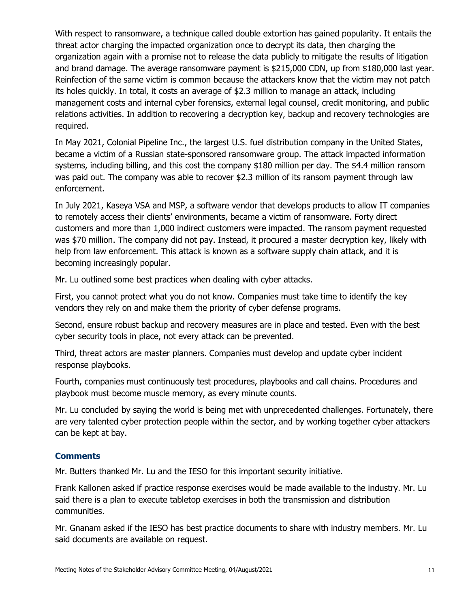With respect to ransomware, a technique called double extortion has gained popularity. It entails the threat actor charging the impacted organization once to decrypt its data, then charging the organization again with a promise not to release the data publicly to mitigate the results of litigation and brand damage. The average ransomware payment is \$215,000 CDN, up from \$180,000 last year. Reinfection of the same victim is common because the attackers know that the victim may not patch its holes quickly. In total, it costs an average of \$2.3 million to manage an attack, including management costs and internal cyber forensics, external legal counsel, credit monitoring, and public relations activities. In addition to recovering a decryption key, backup and recovery technologies are required.

In May 2021, Colonial Pipeline Inc., the largest U.S. fuel distribution company in the United States, became a victim of a Russian state-sponsored ransomware group. The attack impacted information systems, including billing, and this cost the company \$180 million per day. The \$4.4 million ransom was paid out. The company was able to recover \$2.3 million of its ransom payment through law enforcement.

In July 2021, Kaseya VSA and MSP, a software vendor that develops products to allow IT companies to remotely access their clients' environments, became a victim of ransomware. Forty direct customers and more than 1,000 indirect customers were impacted. The ransom payment requested was \$70 million. The company did not pay. Instead, it procured a master decryption key, likely with help from law enforcement. This attack is known as a software supply chain attack, and it is becoming increasingly popular.

Mr. Lu outlined some best practices when dealing with cyber attacks.

First, you cannot protect what you do not know. Companies must take time to identify the key vendors they rely on and make them the priority of cyber defense programs.

Second, ensure robust backup and recovery measures are in place and tested. Even with the best cyber security tools in place, not every attack can be prevented.

Third, threat actors are master planners. Companies must develop and update cyber incident response playbooks.

Fourth, companies must continuously test procedures, playbooks and call chains. Procedures and playbook must become muscle memory, as every minute counts.

Mr. Lu concluded by saying the world is being met with unprecedented challenges. Fortunately, there are very talented cyber protection people within the sector, and by working together cyber attackers can be kept at bay.

## **Comments**

Mr. Butters thanked Mr. Lu and the IESO for this important security initiative.

Frank Kallonen asked if practice response exercises would be made available to the industry. Mr. Lu said there is a plan to execute tabletop exercises in both the transmission and distribution communities.

Mr. Gnanam asked if the IESO has best practice documents to share with industry members. Mr. Lu said documents are available on request.